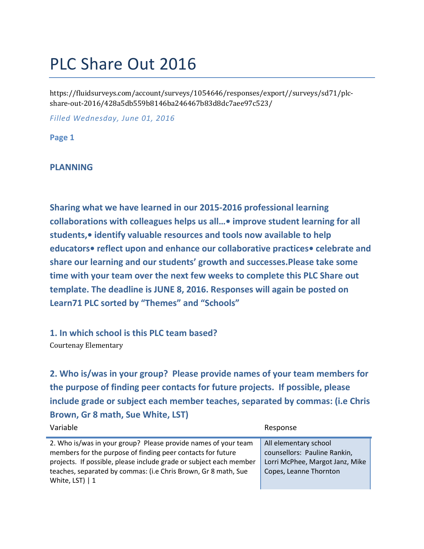# PLC Share Out 2016

https://fluidsurveys.com/account/surveys/1054646/responses/export//surveys/sd71/plcshare-out-2016/428a5db559b8146ba246467b83d8dc7aee97c523/

*Filled Wednesday, June 01, 2016*

**Page 1**

#### **PLANNING**

**Sharing what we have learned in our 2015-2016 professional learning collaborations with colleagues helps us all…• improve student learning for all students,• identify valuable resources and tools now available to help educators• reflect upon and enhance our collaborative practices• celebrate and share our learning and our students' growth and successes.Please take some time with your team over the next few weeks to complete this PLC Share out template. The deadline is JUNE 8, 2016. Responses will again be posted on Learn71 PLC sorted by "Themes" and "Schools"**

**1. In which school is this PLC team based?** Courtenay Elementary

**2. Who is/was in your group? Please provide names of your team members for the purpose of finding peer contacts for future projects. If possible, please include grade or subject each member teaches, separated by commas: (i.e Chris Brown, Gr 8 math, Sue White, LST)**

| Variable                                                                                                                                                                                                                                                                                  | Response                                                                                                           |
|-------------------------------------------------------------------------------------------------------------------------------------------------------------------------------------------------------------------------------------------------------------------------------------------|--------------------------------------------------------------------------------------------------------------------|
| 2. Who is/was in your group? Please provide names of your team<br>members for the purpose of finding peer contacts for future<br>projects. If possible, please include grade or subject each member<br>teaches, separated by commas: (i.e Chris Brown, Gr 8 math, Sue<br>White, LST) $ 1$ | All elementary school<br>counsellors: Pauline Rankin,<br>Lorri McPhee, Margot Janz, Mike<br>Copes, Leanne Thornton |
|                                                                                                                                                                                                                                                                                           |                                                                                                                    |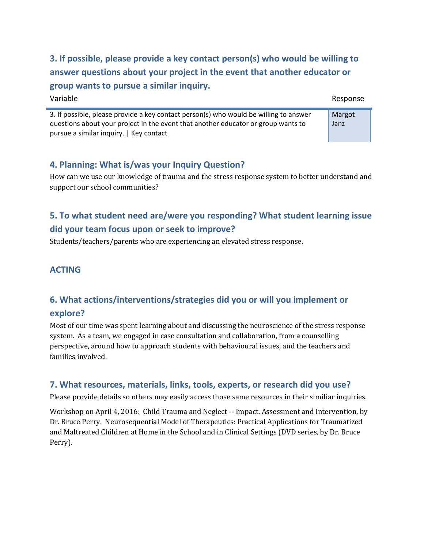**3. If possible, please provide a key contact person(s) who would be willing to answer questions about your project in the event that another educator or group wants to pursue a similar inquiry.**

| Variable                                                                                                                                                                                                              | Response       |
|-----------------------------------------------------------------------------------------------------------------------------------------------------------------------------------------------------------------------|----------------|
| 3. If possible, please provide a key contact person(s) who would be willing to answer<br>questions about your project in the event that another educator or group wants to<br>pursue a similar inquiry.   Key contact | Margot<br>Janz |

#### **4. Planning: What is/was your Inquiry Question?**

How can we use our knowledge of trauma and the stress response system to better understand and support our school communities?

# **5. To what student need are/were you responding? What student learning issue did your team focus upon or seek to improve?**

Students/teachers/parents who are experiencing an elevated stress response.

#### **ACTING**

÷

### **6. What actions/interventions/strategies did you or will you implement or explore?**

Most of our time was spent learning about and discussing the neuroscience of the stress response system. As a team, we engaged in case consultation and collaboration, from a counselling perspective, around how to approach students with behavioural issues, and the teachers and families involved.

#### **7. What resources, materials, links, tools, experts, or research did you use?**

Please provide details so others may easily access those same resources in their similiar inquiries.

Workshop on April 4, 2016: Child Trauma and Neglect -- Impact, Assessment and Intervention, by Dr. Bruce Perry. Neurosequential Model of Therapeutics: Practical Applications for Traumatized and Maltreated Children at Home in the School and in Clinical Settings (DVD series, by Dr. Bruce Perry).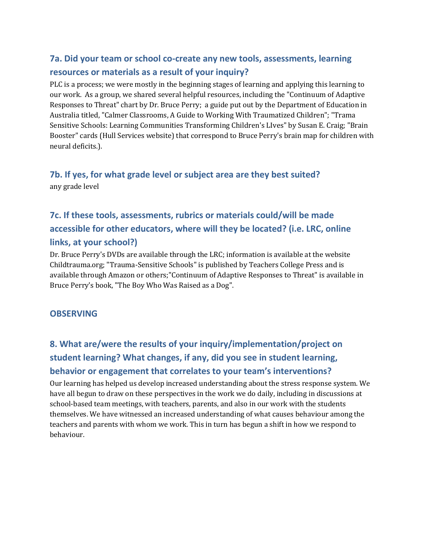## **7a. Did your team or school co-create any new tools, assessments, learning resources or materials as a result of your inquiry?**

PLC is a process; we were mostly in the beginning stages of learning and applying this learning to our work. As a group, we shared several helpful resources, including the "Continuum of Adaptive Responses to Threat" chart by Dr. Bruce Perry; a guide put out by the Department of Education in Australia titled, "Calmer Classrooms, A Guide to Working With Traumatized Children"; "Trama Sensitive Schools: Learning Communities Transforming Children's LIves" by Susan E. Craig; "Brain Booster" cards (Hull Services website) that correspond to Bruce Perry's brain map for children with neural deficits.).

#### **7b. If yes, for what grade level or subject area are they best suited?** any grade level

# **7c. If these tools, assessments, rubrics or materials could/will be made accessible for other educators, where will they be located? (i.e. LRC, online links, at your school?)**

Dr. Bruce Perry's DVDs are available through the LRC; information is available at the website Childtrauma.org; "Trauma-Sensitive Schools" is published by Teachers College Press and is available through Amazon or others;"Continuum of Adaptive Responses to Threat" is available in Bruce Perry's book, "The Boy Who Was Raised as a Dog".

#### **OBSERVING**

# **8. What are/were the results of your inquiry/implementation/project on student learning? What changes, if any, did you see in student learning, behavior or engagement that correlates to your team's interventions?**

Our learning has helped us develop increased understanding about the stress response system. We have all begun to draw on these perspectives in the work we do daily, including in discussions at school-based team meetings, with teachers, parents, and also in our work with the students themselves. We have witnessed an increased understanding of what causes behaviour among the teachers and parents with whom we work. This in turn has begun a shift in how we respond to behaviour.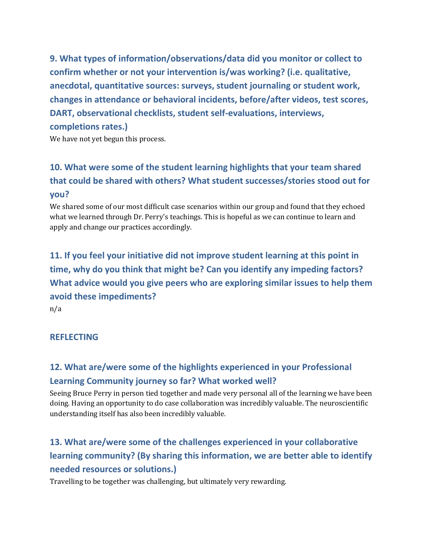**9. What types of information/observations/data did you monitor or collect to confirm whether or not your intervention is/was working? (i.e. qualitative, anecdotal, quantitative sources: surveys, student journaling or student work, changes in attendance or behavioral incidents, before/after videos, test scores, DART, observational checklists, student self-evaluations, interviews, completions rates.)**

We have not yet begun this process.

# **10. What were some of the student learning highlights that your team shared that could be shared with others? What student successes/stories stood out for you?**

We shared some of our most difficult case scenarios within our group and found that they echoed what we learned through Dr. Perry's teachings. This is hopeful as we can continue to learn and apply and change our practices accordingly.

# **11. If you feel your initiative did not improve student learning at this point in time, why do you think that might be? Can you identify any impeding factors? What advice would you give peers who are exploring similar issues to help them avoid these impediments?**

n/a

#### **REFLECTING**

## **12. What are/were some of the highlights experienced in your Professional Learning Community journey so far? What worked well?**

Seeing Bruce Perry in person tied together and made very personal all of the learning we have been doing. Having an opportunity to do case collaboration was incredibly valuable. The neuroscientific understanding itself has also been incredibly valuable.

# **13. What are/were some of the challenges experienced in your collaborative learning community? (By sharing this information, we are better able to identify needed resources or solutions.)**

Travelling to be together was challenging, but ultimately very rewarding.